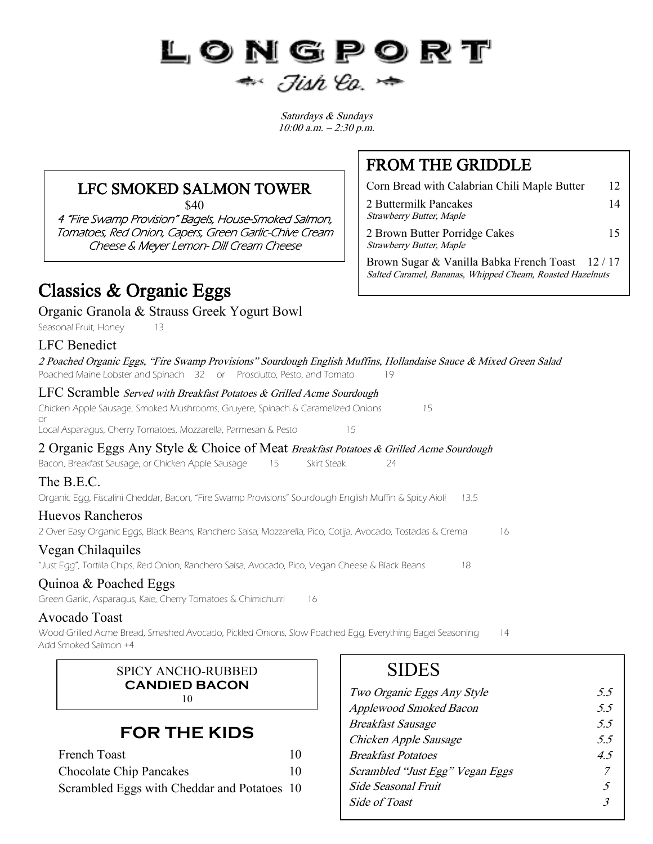# LONGPORT  $\Rightarrow$  Jish Co.  $\Rightarrow$

Saturdays & Sundays 10:00 a.m. – 2:30 p.m.

#### LFC SMOKED SALMON TOWER

\$40

4 "Fire Swamp Provision" Bagels, House-Smoked Salmon, Tomatoes, Red Onion, Capers, Green Garlic-Chive Cream Cheese & Meyer Lemon- Dill Cream Cheese

## Classics & Organic Eggs

Organic Granola & Strauss Greek Yogurt Bowl

Seasonal Fruit, Honey 13

| <b>LFC</b> Benedict                                                                                                                                                                             |
|-------------------------------------------------------------------------------------------------------------------------------------------------------------------------------------------------|
| 2 Poached Organic Eggs, "Fire Swamp Provisions" Sourdough English Muffins, Hollandaise Sauce & Mixed Green Salad<br>Poached Maine Lobster and Spinach 32 or Prosciutto, Pesto, and Tomato<br>19 |
| LFC Scramble Served with Breakfast Potatoes & Grilled Acme Sourdough                                                                                                                            |
| Chicken Apple Sausage, Smoked Mushrooms, Gruyere, Spinach & Caramelized Onions<br>15<br>or                                                                                                      |
| Local Asparagus, Cherry Tomatoes, Mozzarella, Parmesan & Pesto<br>15                                                                                                                            |
| 2 Organic Eggs Any Style & Choice of Meat Breakfast Potatoes & Grilled Acme Sourdough                                                                                                           |
| Bacon, Breakfast Sausage, or Chicken Apple Sausage<br>15<br>Skirt Steak<br>24                                                                                                                   |
| The B.E.C.                                                                                                                                                                                      |
| Organic Egg, Fiscalini Cheddar, Bacon, "Fire Swamp Provisions" Sourdough English Muffin & Spicy Aioli<br>13.5                                                                                   |
| <b>Huevos Rancheros</b>                                                                                                                                                                         |
| 2 Over Easy Organic Eggs, Black Beans, Ranchero Salsa, Mozzarella, Pico, Cotija, Avocado, Tostadas & Crema<br>16                                                                                |
| Vegan Chilaquiles                                                                                                                                                                               |
| "Just Egg", Tortilla Chips, Red Onion, Ranchero Salsa, Avocado, Pico, Vegan Cheese & Black Beans<br>18                                                                                          |

#### Quinoa & Poached Eggs

Green Garlic, Asparagus, Kale, Cherry Tomatoes & Chimichurri 16

#### Avocado Toast

Wood Grilled Acme Bread, Smashed Avocado, Pickled Onions, Slow Poached Egg, Everything Bagel Seasoning 14 Add Smoked Salmon +4

> SPICY ANCHO-RUBBED **CANDIED BACON** 10

#### **FOR THE KIDS**

| <b>French Toast</b>                         | 10 |
|---------------------------------------------|----|
| Chocolate Chip Pancakes                     | 10 |
| Scrambled Eggs with Cheddar and Potatoes 10 |    |

### **SIDES**

| Two Organic Eggs Any Style      | 55 |
|---------------------------------|----|
| <b>Applewood Smoked Bacon</b>   | 55 |
| <b>Breakfast Sausage</b>        | 55 |
| Chicken Apple Sausage           | 55 |
| <b>Breakfast Potatoes</b>       | 45 |
| Scrambled "Just Egg" Vegan Eggs |    |
| Side Seasonal Fruit             | 5  |
| Side of Toast                   | 3  |
|                                 |    |

## FROM THE GRIDDLE

Corn Bread with Calabrian Chili Maple Butter 12 2 Buttermilk Pancakes 14 Strawberry Butter, Maple

2 Brown Butter Porridge Cakes 15 Strawberry Butter, Maple

Brown Sugar & Vanilla Babka French Toast 12 / 17 Salted Caramel, Bananas, Whipped Cheam, Roasted Hazelnuts